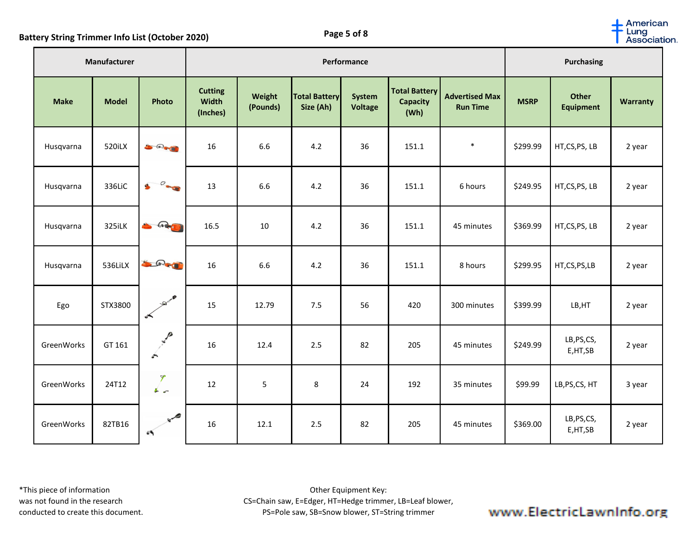**Battery String Trimmer Info List (October 2020) Page 5 of 8**

| Manufacturer |              |                                                                                                                                                                                                                                                                                                                                                           | Performance                                |                    |                                   |                          |                                                 |                                          |             | <b>Purchasing</b>                |                 |  |
|--------------|--------------|-----------------------------------------------------------------------------------------------------------------------------------------------------------------------------------------------------------------------------------------------------------------------------------------------------------------------------------------------------------|--------------------------------------------|--------------------|-----------------------------------|--------------------------|-------------------------------------------------|------------------------------------------|-------------|----------------------------------|-----------------|--|
| <b>Make</b>  | <b>Model</b> | Photo                                                                                                                                                                                                                                                                                                                                                     | <b>Cutting</b><br><b>Width</b><br>(Inches) | Weight<br>(Pounds) | <b>Total Battery</b><br>Size (Ah) | System<br><b>Voltage</b> | <b>Total Battery</b><br><b>Capacity</b><br>(Wh) | <b>Advertised Max</b><br><b>Run Time</b> | <b>MSRP</b> | <b>Other</b><br><b>Equipment</b> | <b>Warranty</b> |  |
| Husqvarna    | 520iLX       | $\begin{smallmatrix} \bullet & \bullet \\ \bullet & \bullet \end{smallmatrix}$                                                                                                                                                                                                                                                                            | 16                                         | 6.6                | 4.2                               | 36                       | 151.1                                           | $\ast$                                   | \$299.99    | HT,CS,PS, LB                     | 2 year          |  |
| Husqvarna    | 336LiC       | O                                                                                                                                                                                                                                                                                                                                                         | 13                                         | 6.6                | 4.2                               | 36                       | 151.1                                           | 6 hours                                  | \$249.95    | HT,CS,PS, LB                     | 2 year          |  |
| Husqvarna    | 325iLK       | $G = \frac{1}{2}$                                                                                                                                                                                                                                                                                                                                         | 16.5                                       | 10                 | 4.2                               | 36                       | 151.1                                           | 45 minutes                               | \$369.99    | HT,CS,PS, LB                     | 2 year          |  |
| Husqvarna    | 536LiLX      | SAI                                                                                                                                                                                                                                                                                                                                                       | 16                                         | 6.6                | 4.2                               | 36                       | 151.1                                           | 8 hours                                  | \$299.95    | HT,CS,PS,LB                      | 2 year          |  |
| Ego          | STX3800      | <b>Allen</b><br>e a control de la control de la control de la control de la control de la control de la control de la control de la control de la control de la control de la control de la control de la control de la control de la control                                                                                                             | 15                                         | 12.79              | 7.5                               | 56                       | 420                                             | 300 minutes                              | \$399.99    | LB, HT                           | 2 year          |  |
| GreenWorks   | GT 161       | <b>NICE</b><br>$\curvearrowleft$                                                                                                                                                                                                                                                                                                                          | 16                                         | 12.4               | 2.5                               | 82                       | 205                                             | 45 minutes                               | \$249.99    | LB, PS, CS,<br>E,HT,SB           | 2 year          |  |
| GreenWorks   | 24T12        | $\frac{1}{2}$                                                                                                                                                                                                                                                                                                                                             | 12                                         | 5                  | 8                                 | 24                       | 192                                             | 35 minutes                               | \$99.99     | LB, PS, CS, HT                   | 3 year          |  |
| GreenWorks   | 82TB16       | $\begin{picture}(180,10) \put(0,0){\line(1,0){155}} \put(10,0){\line(1,0){155}} \put(10,0){\line(1,0){155}} \put(10,0){\line(1,0){155}} \put(10,0){\line(1,0){155}} \put(10,0){\line(1,0){155}} \put(10,0){\line(1,0){155}} \put(10,0){\line(1,0){155}} \put(10,0){\line(1,0){155}} \put(10,0){\line(1,0){155}} \put(10,0){\line(1,0){155}}$<br>$\bullet$ | 16                                         | 12.1               | 2.5                               | 82                       | 205                                             | 45 minutes                               | \$369.00    | LB, PS, CS,<br>E,HT,SB           | 2 year          |  |

American Lung Association.